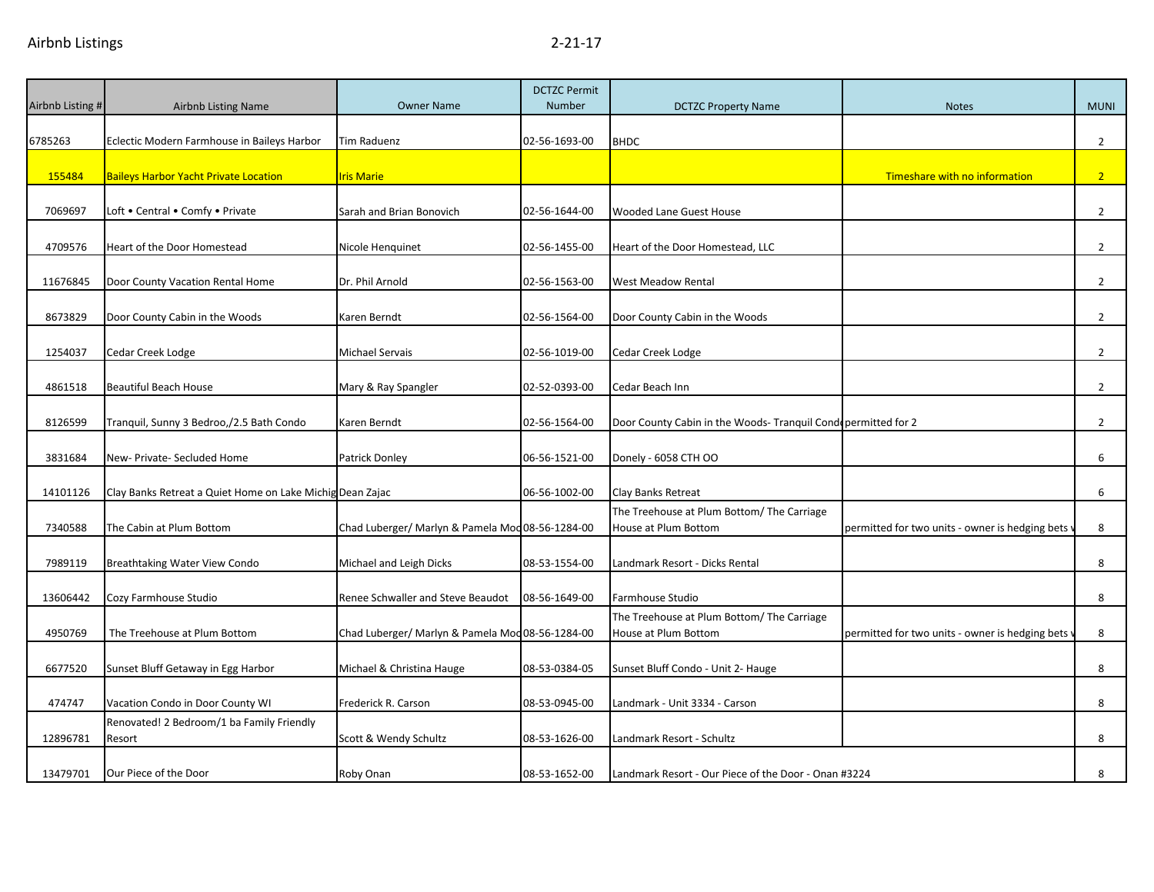| Airbnb Listing # | <b>Airbnb Listing Name</b>                                | <b>Owner Name</b>                                | <b>DCTZC Permit</b><br><b>Number</b> | <b>DCTZC Property Name</b>                                         | <b>Notes</b>                                    | <b>MUNI</b>    |
|------------------|-----------------------------------------------------------|--------------------------------------------------|--------------------------------------|--------------------------------------------------------------------|-------------------------------------------------|----------------|
|                  |                                                           |                                                  |                                      |                                                                    |                                                 |                |
| 6785263          | Eclectic Modern Farmhouse in Baileys Harbor               | Tim Raduenz                                      | 02-56-1693-00                        | <b>BHDC</b>                                                        |                                                 | $\overline{2}$ |
| 155484           | <b>Baileys Harbor Yacht Private Location</b>              | <b>Iris Marie</b>                                |                                      |                                                                    | Timeshare with no information                   | 2 <sup>2</sup> |
| 7069697          | Loft . Central . Comfy . Private                          | Sarah and Brian Bonovich                         | 02-56-1644-00                        | Wooded Lane Guest House                                            |                                                 | $\overline{2}$ |
| 4709576          | Heart of the Door Homestead                               | Nicole Henquinet                                 | 02-56-1455-00                        | Heart of the Door Homestead, LLC                                   |                                                 | $\overline{2}$ |
| 11676845         | Door County Vacation Rental Home                          | Dr. Phil Arnold                                  | 02-56-1563-00                        | West Meadow Rental                                                 |                                                 | $\overline{2}$ |
| 8673829          | Door County Cabin in the Woods                            | Karen Berndt                                     | 02-56-1564-00                        | Door County Cabin in the Woods                                     |                                                 | $\overline{2}$ |
| 1254037          | Cedar Creek Lodge                                         | Michael Servais                                  | 02-56-1019-00                        | Cedar Creek Lodge                                                  |                                                 | $\overline{2}$ |
| 4861518          | <b>Beautiful Beach House</b>                              | Mary & Ray Spangler                              | 02-52-0393-00                        | Cedar Beach Inn                                                    |                                                 | $\overline{2}$ |
| 8126599          | Tranquil, Sunny 3 Bedroo,/2.5 Bath Condo                  | Karen Berndt                                     | 02-56-1564-00                        | Door County Cabin in the Woods- Tranquil Condepermitted for 2      |                                                 | $\overline{2}$ |
| 3831684          | New- Private- Secluded Home                               | Patrick Donley                                   | 06-56-1521-00                        | Donely - 6058 CTH OO                                               |                                                 | 6              |
| 14101126         | Clay Banks Retreat a Quiet Home on Lake Michig Dean Zajac |                                                  | 06-56-1002-00                        | Clay Banks Retreat                                                 |                                                 | 6              |
| 7340588          | The Cabin at Plum Bottom                                  | Chad Luberger/ Marlyn & Pamela Mod 08-56-1284-00 |                                      | The Treehouse at Plum Bottom/ The Carriage<br>House at Plum Bottom | permitted for two units - owner is hedging bets | 8              |
| 7989119          | Breathtaking Water View Condo                             | Michael and Leigh Dicks                          | 08-53-1554-00                        | Landmark Resort - Dicks Rental                                     |                                                 | 8              |
| 13606442         | Cozy Farmhouse Studio                                     | Renee Schwaller and Steve Beaudot                | 08-56-1649-00                        | Farmhouse Studio                                                   |                                                 | 8              |
| 4950769          | The Treehouse at Plum Bottom                              | Chad Luberger/ Marlyn & Pamela Mod 08-56-1284-00 |                                      | The Treehouse at Plum Bottom/ The Carriage<br>House at Plum Bottom | permitted for two units - owner is hedging bets | 8              |
| 6677520          | Sunset Bluff Getaway in Egg Harbor                        | Michael & Christina Hauge                        | 08-53-0384-05                        | Sunset Bluff Condo - Unit 2- Hauge                                 |                                                 | 8              |
| 474747           | Vacation Condo in Door County WI                          | Frederick R. Carson                              | 08-53-0945-00                        | Landmark - Unit 3334 - Carson                                      |                                                 | 8              |
| 12896781         | Renovated! 2 Bedroom/1 ba Family Friendly<br>Resort       | Scott & Wendy Schultz                            | 08-53-1626-00                        | Landmark Resort - Schultz                                          |                                                 | 8              |
| 13479701         | Our Piece of the Door                                     | Roby Onan                                        | 08-53-1652-00                        | Landmark Resort - Our Piece of the Door - Onan #3224               |                                                 | 8              |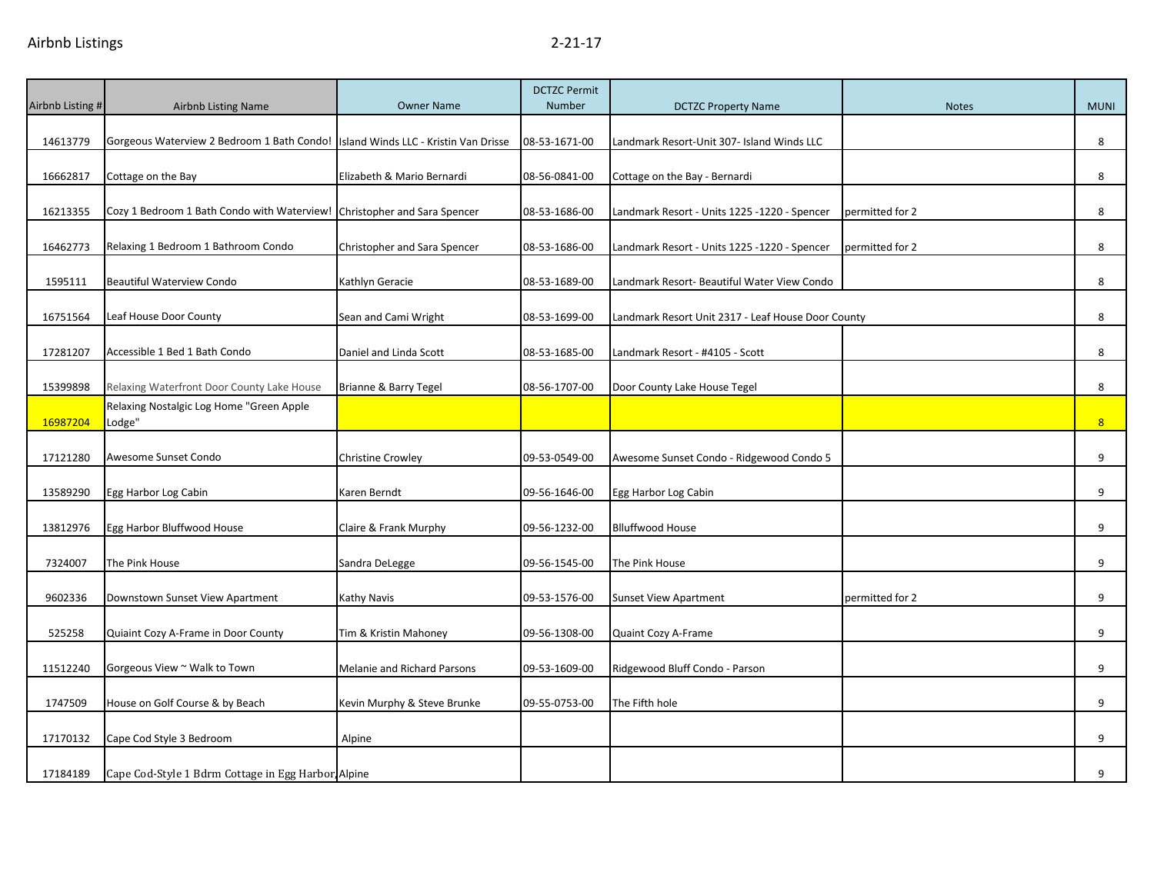| Airbnb Listing # | Airbnb Listing Name                                                                | <b>Owner Name</b>            | <b>DCTZC Permit</b><br>Number | <b>DCTZC Property Name</b>                         | <b>Notes</b>    | <b>MUNI</b>    |
|------------------|------------------------------------------------------------------------------------|------------------------------|-------------------------------|----------------------------------------------------|-----------------|----------------|
|                  |                                                                                    |                              |                               |                                                    |                 |                |
| 14613779         | Gorgeous Waterview 2 Bedroom 1 Bath Condo!   Island Winds LLC - Kristin Van Drisse |                              | 08-53-1671-00                 | Landmark Resort-Unit 307- Island Winds LLC         |                 | 8              |
| 16662817         | Cottage on the Bay                                                                 | Elizabeth & Mario Bernardi   | 08-56-0841-00                 | Cottage on the Bay - Bernardi                      |                 | 8              |
| 16213355         | Cozy 1 Bedroom 1 Bath Condo with Waterview! Christopher and Sara Spencer           |                              | 08-53-1686-00                 | Landmark Resort - Units 1225 -1220 - Spencer       | permitted for 2 | 8              |
| 16462773         | Relaxing 1 Bedroom 1 Bathroom Condo                                                | Christopher and Sara Spencer | 08-53-1686-00                 | Landmark Resort - Units 1225 -1220 - Spencer       | permitted for 2 | 8              |
| 1595111          | <b>Beautiful Waterview Condo</b>                                                   | Kathlyn Geracie              | 08-53-1689-00                 | Landmark Resort- Beautiful Water View Condo        |                 | 8              |
| 16751564         | Leaf House Door County                                                             | Sean and Cami Wright         | 08-53-1699-00                 | Landmark Resort Unit 2317 - Leaf House Door County |                 | 8              |
| 17281207         | Accessible 1 Bed 1 Bath Condo                                                      | Daniel and Linda Scott       | 08-53-1685-00                 | Landmark Resort - #4105 - Scott                    |                 | 8              |
| 15399898         | Relaxing Waterfront Door County Lake House                                         | Brianne & Barry Tegel        | 08-56-1707-00                 | Door County Lake House Tegel                       |                 | 8              |
| 16987204         | Relaxing Nostalgic Log Home "Green Apple<br>Lodge"                                 |                              |                               |                                                    |                 | 8 <sup>1</sup> |
| 17121280         | Awesome Sunset Condo                                                               | Christine Crowley            | 09-53-0549-00                 | Awesome Sunset Condo - Ridgewood Condo 5           |                 | 9              |
| 13589290         | Egg Harbor Log Cabin                                                               | Karen Berndt                 | 09-56-1646-00                 | Egg Harbor Log Cabin                               |                 | 9              |
| 13812976         | Egg Harbor Bluffwood House                                                         | Claire & Frank Murphy        | 09-56-1232-00                 | <b>Blluffwood House</b>                            |                 | 9              |
| 7324007          | The Pink House                                                                     | Sandra DeLegge               | 09-56-1545-00                 | The Pink House                                     |                 | 9              |
| 9602336          | Downstown Sunset View Apartment                                                    | Kathy Navis                  | 09-53-1576-00                 | <b>Sunset View Apartment</b>                       | permitted for 2 | 9              |
| 525258           | Quiaint Cozy A-Frame in Door County                                                | Tim & Kristin Mahoney        | 09-56-1308-00                 | Quaint Cozy A-Frame                                |                 | 9              |
| 11512240         | Gorgeous View ~ Walk to Town                                                       | Melanie and Richard Parsons  | 09-53-1609-00                 | Ridgewood Bluff Condo - Parson                     |                 | 9              |
| 1747509          | House on Golf Course & by Beach                                                    | Kevin Murphy & Steve Brunke  | 09-55-0753-00                 | The Fifth hole                                     |                 | 9              |
| 17170132         | Cape Cod Style 3 Bedroom                                                           | Alpine                       |                               |                                                    |                 | 9              |
| 17184189         | Cape Cod-Style 1 Bdrm Cottage in Egg Harbor Alpine                                 |                              |                               |                                                    |                 | 9              |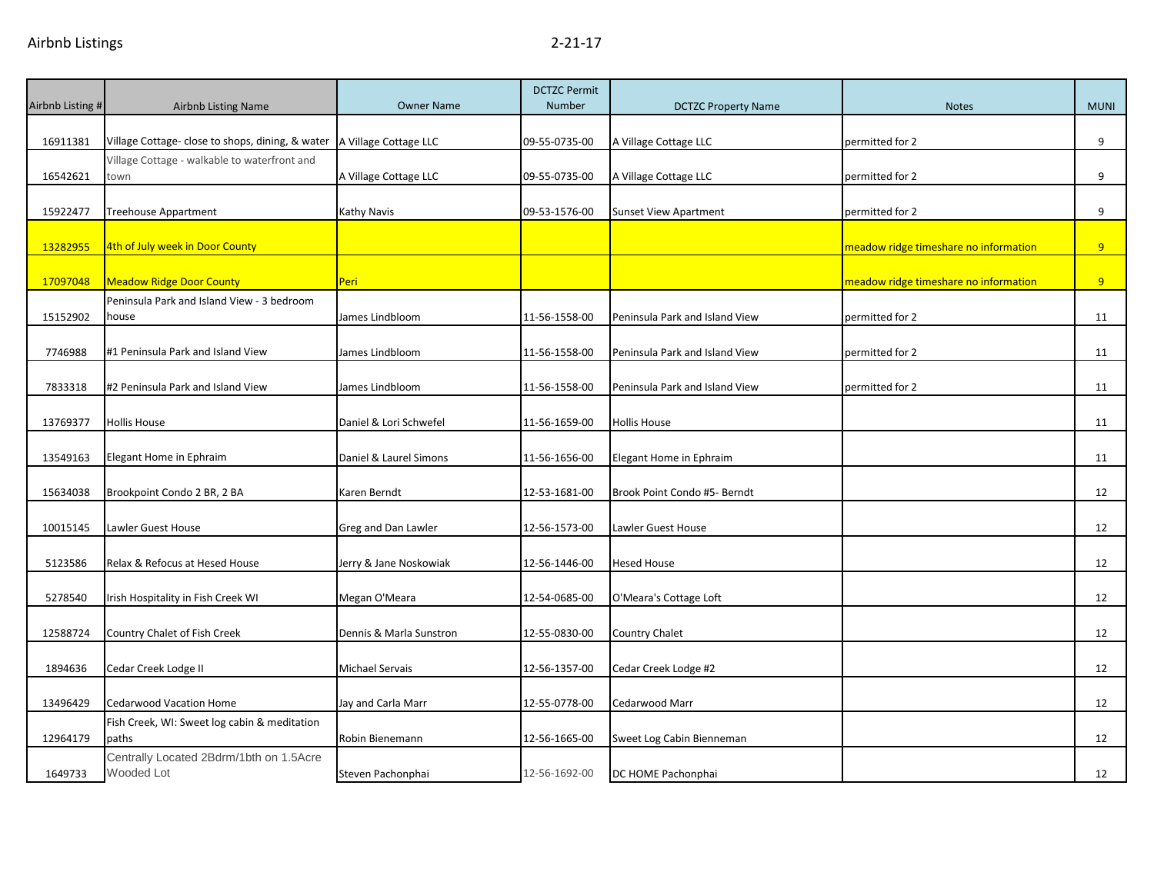| Airbnb Listing # | <b>Airbnb Listing Name</b>                            | <b>Owner Name</b>       | <b>DCTZC Permit</b><br><b>Number</b> | <b>DCTZC Property Name</b>     | <b>Notes</b>                          | <b>MUNI</b> |
|------------------|-------------------------------------------------------|-------------------------|--------------------------------------|--------------------------------|---------------------------------------|-------------|
|                  |                                                       |                         |                                      |                                |                                       |             |
| 16911381         | Village Cottage- close to shops, dining, & water      | A Village Cottage LLC   | 09-55-0735-00                        | A Village Cottage LLC          | permitted for 2                       | 9           |
|                  | Village Cottage - walkable to waterfront and          |                         |                                      |                                |                                       |             |
| 16542621         | town                                                  | A Village Cottage LLC   | 09-55-0735-00                        | A Village Cottage LLC          | permitted for 2                       | 9           |
| 15922477         | Treehouse Appartment                                  | Kathy Navis             | 09-53-1576-00                        | <b>Sunset View Apartment</b>   | permitted for 2                       | 9           |
| 13282955         | 4th of July week in Door County                       |                         |                                      |                                | meadow ridge timeshare no information | 9           |
| 17097048         | <b>Meadow Ridge Door County</b>                       | Peri                    |                                      |                                | meadow ridge timeshare no information | 9           |
|                  | Peninsula Park and Island View - 3 bedroom            |                         |                                      |                                |                                       |             |
| 15152902         | house                                                 | James Lindbloom         | 11-56-1558-00                        | Peninsula Park and Island View | permitted for 2                       | 11          |
| 7746988          | #1 Peninsula Park and Island View                     | James Lindbloom         | 11-56-1558-00                        | Peninsula Park and Island View | permitted for 2                       | 11          |
| 7833318          | #2 Peninsula Park and Island View                     | James Lindbloom         | 11-56-1558-00                        | Peninsula Park and Island View | permitted for 2                       | 11          |
| 13769377         | <b>Hollis House</b>                                   | Daniel & Lori Schwefel  | 11-56-1659-00                        | <b>Hollis House</b>            |                                       | 11          |
| 13549163         | Elegant Home in Ephraim                               | Daniel & Laurel Simons  | 11-56-1656-00                        | Elegant Home in Ephraim        |                                       | 11          |
|                  |                                                       |                         |                                      |                                |                                       |             |
| 15634038         | Brookpoint Condo 2 BR, 2 BA                           | Karen Berndt            | 12-53-1681-00                        | Brook Point Condo #5- Berndt   |                                       | 12          |
| 10015145         | Lawler Guest House                                    | Greg and Dan Lawler     | 12-56-1573-00                        | Lawler Guest House             |                                       | 12          |
|                  |                                                       |                         |                                      |                                |                                       |             |
| 5123586          | Relax & Refocus at Hesed House                        | Jerry & Jane Noskowiak  | 12-56-1446-00                        | <b>Hesed House</b>             |                                       | 12          |
| 5278540          | Irish Hospitality in Fish Creek WI                    | Megan O'Meara           | 12-54-0685-00                        | O'Meara's Cottage Loft         |                                       | 12          |
| 12588724         | Country Chalet of Fish Creek                          | Dennis & Marla Sunstron | 12-55-0830-00                        | Country Chalet                 |                                       | 12          |
| 1894636          | Cedar Creek Lodge II                                  | Michael Servais         | 12-56-1357-00                        | Cedar Creek Lodge #2           |                                       | 12          |
|                  |                                                       |                         |                                      |                                |                                       |             |
| 13496429         | <b>Cedarwood Vacation Home</b>                        | Jay and Carla Marr      | 12-55-0778-00                        | Cedarwood Marr                 |                                       | 12          |
|                  | Fish Creek, WI: Sweet log cabin & meditation          |                         |                                      |                                |                                       |             |
| 12964179         | paths                                                 | Robin Bienemann         | 12-56-1665-00                        | Sweet Log Cabin Bienneman      |                                       | 12          |
| 1649733          | Centrally Located 2Bdrm/1bth on 1.5Acre<br>Wooded Lot | Steven Pachonphai       | 12-56-1692-00                        | DC HOME Pachonphai             |                                       | 12          |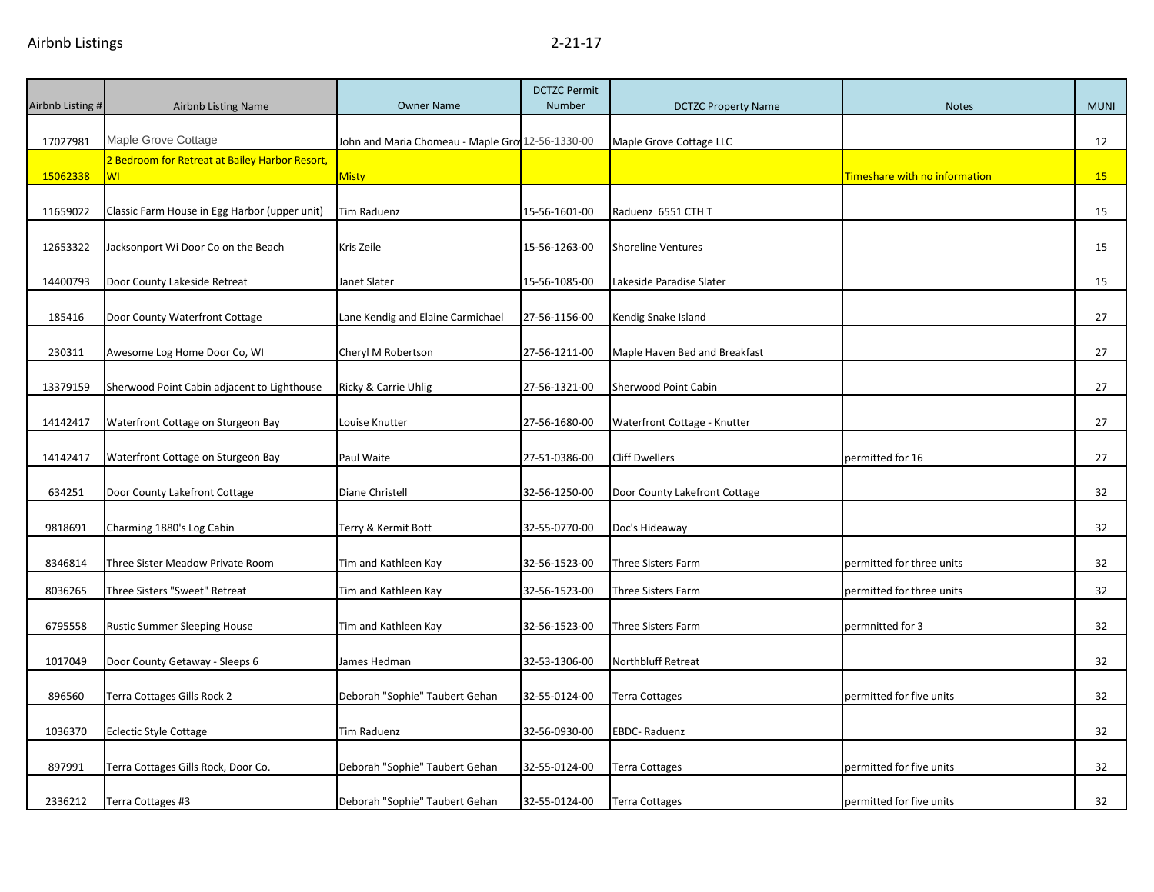| Airbnb Listing # | <b>Airbnb Listing Name</b>                           | <b>Owner Name</b>                                | <b>DCTZC Permit</b><br>Number | <b>DCTZC Property Name</b>    | <b>Notes</b>                  | <b>MUNI</b> |
|------------------|------------------------------------------------------|--------------------------------------------------|-------------------------------|-------------------------------|-------------------------------|-------------|
| 17027981         | Maple Grove Cottage                                  | John and Maria Chomeau - Maple Gro 12-56-1330-00 |                               | Maple Grove Cottage LLC       |                               | 12          |
| 15062338         | 2 Bedroom for Retreat at Bailey Harbor Resort,<br>WI | <b>Misty</b>                                     |                               |                               | Timeshare with no information | 15          |
|                  |                                                      |                                                  |                               |                               |                               |             |
| 11659022         | Classic Farm House in Egg Harbor (upper unit)        | Tim Raduenz                                      | 15-56-1601-00                 | Raduenz 6551 CTH T            |                               | 15          |
| 12653322         | Jacksonport Wi Door Co on the Beach                  | Kris Zeile                                       | 15-56-1263-00                 | <b>Shoreline Ventures</b>     |                               | 15          |
| 14400793         | Door County Lakeside Retreat                         | Janet Slater                                     | 15-56-1085-00                 | Lakeside Paradise Slater      |                               | 15          |
| 185416           | Door County Waterfront Cottage                       | Lane Kendig and Elaine Carmichael                | 27-56-1156-00                 | Kendig Snake Island           |                               | 27          |
| 230311           | Awesome Log Home Door Co, WI                         | Cheryl M Robertson                               | 27-56-1211-00                 | Maple Haven Bed and Breakfast |                               | 27          |
| 13379159         | Sherwood Point Cabin adjacent to Lighthouse          | Ricky & Carrie Uhlig                             | 27-56-1321-00                 | Sherwood Point Cabin          |                               | 27          |
| 14142417         | Waterfront Cottage on Sturgeon Bay                   | Louise Knutter                                   | 27-56-1680-00                 | Waterfront Cottage - Knutter  |                               | 27          |
| 14142417         | Waterfront Cottage on Sturgeon Bay                   | Paul Waite                                       | 27-51-0386-00                 | <b>Cliff Dwellers</b>         | permitted for 16              | 27          |
| 634251           | Door County Lakefront Cottage                        | Diane Christell                                  | 32-56-1250-00                 | Door County Lakefront Cottage |                               | 32          |
| 9818691          | Charming 1880's Log Cabin                            | Terry & Kermit Bott                              | 32-55-0770-00                 | Doc's Hideaway                |                               | 32          |
| 8346814          | Three Sister Meadow Private Room                     | Tim and Kathleen Kay                             | 32-56-1523-00                 | Three Sisters Farm            | permitted for three units     | 32          |
| 8036265          | Three Sisters "Sweet" Retreat                        | Tim and Kathleen Kay                             | 32-56-1523-00                 | <b>Three Sisters Farm</b>     | permitted for three units     | 32          |
| 6795558          | <b>Rustic Summer Sleeping House</b>                  | Tim and Kathleen Kay                             | 32-56-1523-00                 | Three Sisters Farm            | permnitted for 3              | 32          |
| 1017049          | Door County Getaway - Sleeps 6                       | James Hedman                                     | 32-53-1306-00                 | Northbluff Retreat            |                               | 32          |
| 896560           | Terra Cottages Gills Rock 2                          | Deborah "Sophie" Taubert Gehan                   | 32-55-0124-00                 | <b>Terra Cottages</b>         | permitted for five units      | 32          |
| 1036370          | <b>Eclectic Style Cottage</b>                        | Tim Raduenz                                      | 32-56-0930-00                 | EBDC-Raduenz                  |                               | 32          |
| 897991           | Terra Cottages Gills Rock, Door Co.                  | Deborah "Sophie" Taubert Gehan                   | 32-55-0124-00                 | Terra Cottages                | permitted for five units      | 32          |
| 2336212          | Terra Cottages #3                                    | Deborah "Sophie" Taubert Gehan                   | 32-55-0124-00                 | <b>Terra Cottages</b>         | permitted for five units      | 32          |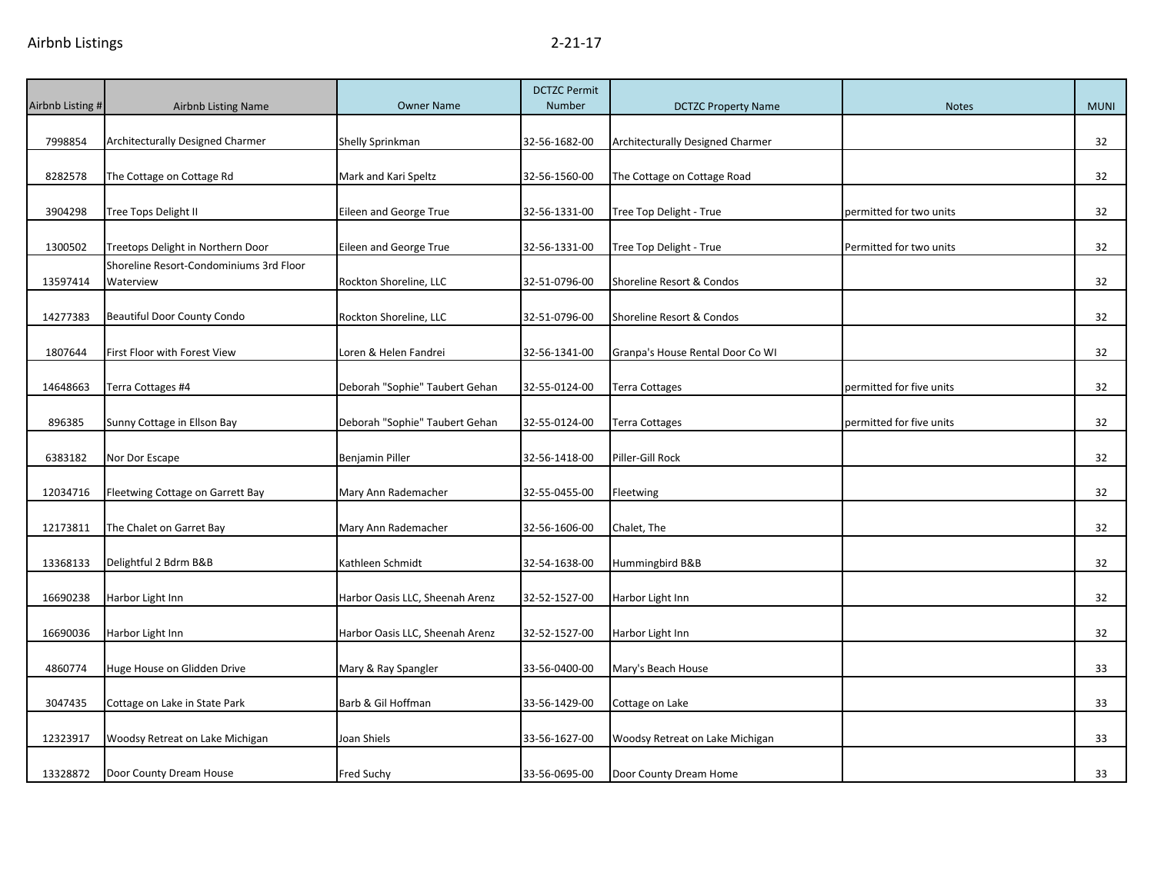| Airbnb Listing # | <b>Airbnb Listing Name</b>                           | <b>Owner Name</b>               | <b>DCTZC Permit</b><br><b>Number</b> | <b>DCTZC Property Name</b>       | <b>Notes</b>             | <b>MUNI</b> |
|------------------|------------------------------------------------------|---------------------------------|--------------------------------------|----------------------------------|--------------------------|-------------|
|                  |                                                      |                                 |                                      |                                  |                          |             |
| 7998854          | Architecturally Designed Charmer                     | Shelly Sprinkman                | 32-56-1682-00                        | Architecturally Designed Charmer |                          | 32          |
|                  |                                                      |                                 |                                      |                                  |                          |             |
| 8282578          | The Cottage on Cottage Rd                            | Mark and Kari Speltz            | 32-56-1560-00                        | The Cottage on Cottage Road      |                          | 32          |
| 3904298          | Tree Tops Delight II                                 | Eileen and George True          | 32-56-1331-00                        | Tree Top Delight - True          | permitted for two units  | 32          |
| 1300502          | Treetops Delight in Northern Door                    | Eileen and George True          | 32-56-1331-00                        | Tree Top Delight - True          | Permitted for two units  | 32          |
| 13597414         | Shoreline Resort-Condominiums 3rd Floor<br>Waterview | Rockton Shoreline, LLC          | 32-51-0796-00                        | Shoreline Resort & Condos        |                          | 32          |
| 14277383         | <b>Beautiful Door County Condo</b>                   | Rockton Shoreline, LLC          | 32-51-0796-00                        | Shoreline Resort & Condos        |                          | 32          |
| 1807644          | First Floor with Forest View                         | Loren & Helen Fandrei           | 32-56-1341-00                        | Granpa's House Rental Door Co WI |                          | 32          |
| 14648663         | Terra Cottages #4                                    | Deborah "Sophie" Taubert Gehan  | 32-55-0124-00                        | <b>Terra Cottages</b>            | permitted for five units | 32          |
| 896385           | Sunny Cottage in Ellson Bay                          | Deborah "Sophie" Taubert Gehan  | 32-55-0124-00                        | <b>Terra Cottages</b>            | permitted for five units | 32          |
| 6383182          | Nor Dor Escape                                       | Benjamin Piller                 | 32-56-1418-00                        | Piller-Gill Rock                 |                          | 32          |
| 12034716         | Fleetwing Cottage on Garrett Bay                     | Mary Ann Rademacher             | 32-55-0455-00                        | Fleetwing                        |                          | 32          |
| 12173811         | The Chalet on Garret Bay                             | Mary Ann Rademacher             | 32-56-1606-00                        | Chalet, The                      |                          | 32          |
| 13368133         | Delightful 2 Bdrm B&B                                | Kathleen Schmidt                | 32-54-1638-00                        | Hummingbird B&B                  |                          | 32          |
| 16690238         | Harbor Light Inn                                     | Harbor Oasis LLC, Sheenah Arenz | 32-52-1527-00                        | Harbor Light Inn                 |                          | 32          |
| 16690036         | Harbor Light Inn                                     | Harbor Oasis LLC, Sheenah Arenz | 32-52-1527-00                        | Harbor Light Inn                 |                          | 32          |
| 4860774          | Huge House on Glidden Drive                          | Mary & Ray Spangler             | 33-56-0400-00                        | Mary's Beach House               |                          | 33          |
| 3047435          | Cottage on Lake in State Park                        | Barb & Gil Hoffman              | 33-56-1429-00                        | Cottage on Lake                  |                          | 33          |
| 12323917         | Woodsy Retreat on Lake Michigan                      | Joan Shiels                     | 33-56-1627-00                        | Woodsy Retreat on Lake Michigan  |                          | 33          |
| 13328872         | Door County Dream House                              | Fred Suchy                      | 33-56-0695-00                        | Door County Dream Home           |                          | 33          |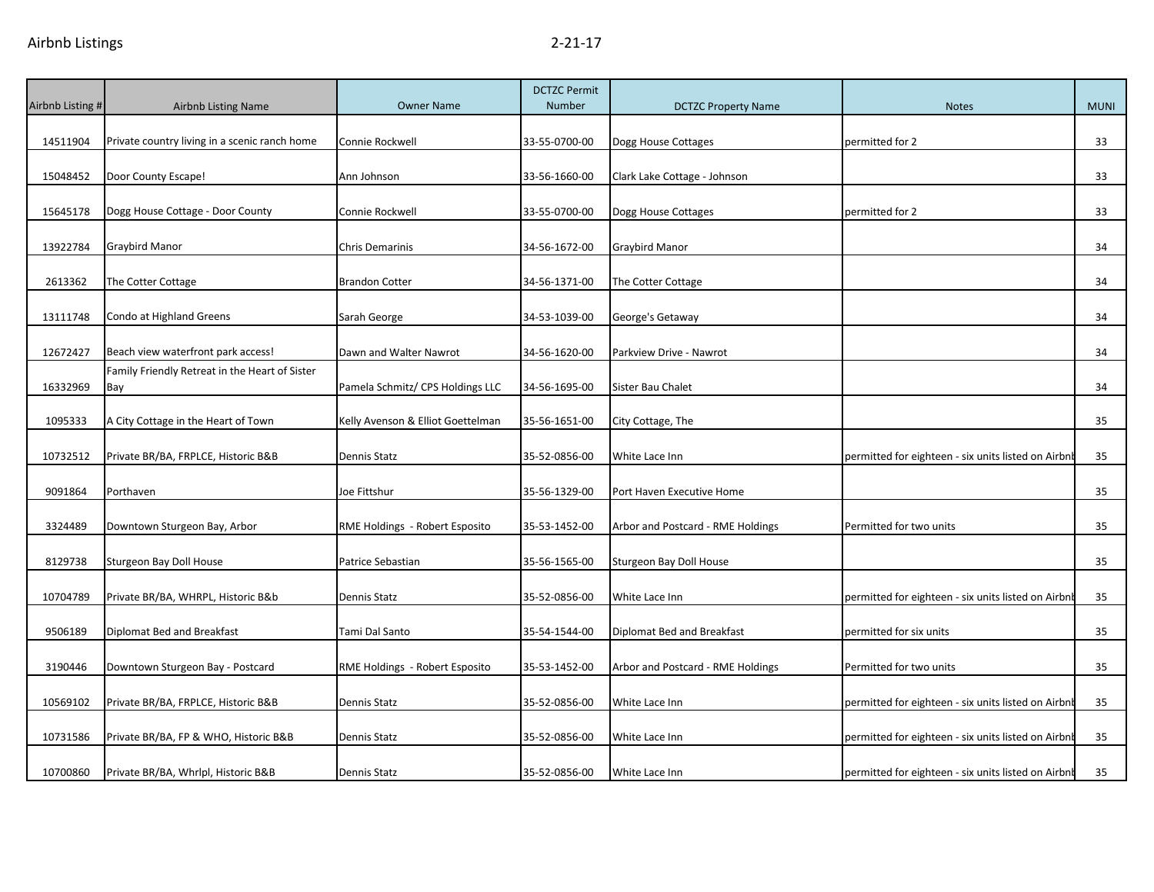| Airbnb Listing # | <b>Airbnb Listing Name</b>                            | <b>Owner Name</b>                 | <b>DCTZC Permit</b><br><b>Number</b> | <b>DCTZC Property Name</b>        | <b>Notes</b>                                        | <b>MUNI</b> |
|------------------|-------------------------------------------------------|-----------------------------------|--------------------------------------|-----------------------------------|-----------------------------------------------------|-------------|
|                  |                                                       |                                   |                                      |                                   |                                                     |             |
| 14511904         | Private country living in a scenic ranch home         | Connie Rockwell                   | 33-55-0700-00                        | Dogg House Cottages               | permitted for 2                                     | 33          |
| 15048452         | Door County Escape!                                   | Ann Johnson                       | 33-56-1660-00                        | Clark Lake Cottage - Johnson      |                                                     | 33          |
| 15645178         | Dogg House Cottage - Door County                      | Connie Rockwell                   | 33-55-0700-00                        | Dogg House Cottages               | permitted for 2                                     | 33          |
| 13922784         | Graybird Manor                                        | <b>Chris Demarinis</b>            | 34-56-1672-00                        | Graybird Manor                    |                                                     | 34          |
| 2613362          | The Cotter Cottage                                    | <b>Brandon Cotter</b>             | 34-56-1371-00                        | The Cotter Cottage                |                                                     | 34          |
| 13111748         | Condo at Highland Greens                              | Sarah George                      | 34-53-1039-00                        | George's Getaway                  |                                                     | 34          |
| 12672427         | Beach view waterfront park access!                    | Dawn and Walter Nawrot            | 34-56-1620-00                        | Parkview Drive - Nawrot           |                                                     | 34          |
| 16332969         | Family Friendly Retreat in the Heart of Sister<br>Bay | Pamela Schmitz/ CPS Holdings LLC  | 34-56-1695-00                        | Sister Bau Chalet                 |                                                     | 34          |
| 1095333          | A City Cottage in the Heart of Town                   | Kelly Avenson & Elliot Goettelman | 35-56-1651-00                        | City Cottage, The                 |                                                     | 35          |
| 10732512         | Private BR/BA, FRPLCE, Historic B&B                   | Dennis Statz                      | 35-52-0856-00                        | White Lace Inn                    | permitted for eighteen - six units listed on Airbnb | 35          |
| 9091864          | Porthaven                                             | Joe Fittshur                      | 35-56-1329-00                        | Port Haven Executive Home         |                                                     | 35          |
| 3324489          | Downtown Sturgeon Bay, Arbor                          | RME Holdings - Robert Esposito    | 35-53-1452-00                        | Arbor and Postcard - RME Holdings | Permitted for two units                             | 35          |
| 8129738          | Sturgeon Bay Doll House                               | Patrice Sebastian                 | 35-56-1565-00                        | Sturgeon Bay Doll House           |                                                     | 35          |
| 10704789         | Private BR/BA, WHRPL, Historic B&b                    | Dennis Statz                      | 35-52-0856-00                        | White Lace Inn                    | permitted for eighteen - six units listed on Airbnb | 35          |
| 9506189          | Diplomat Bed and Breakfast                            | Tami Dal Santo                    | 35-54-1544-00                        | Diplomat Bed and Breakfast        | permitted for six units                             | 35          |
| 3190446          | Downtown Sturgeon Bay - Postcard                      | RME Holdings - Robert Esposito    | 35-53-1452-00                        | Arbor and Postcard - RME Holdings | Permitted for two units                             | 35          |
| 10569102         | Private BR/BA, FRPLCE, Historic B&B                   | <b>Dennis Statz</b>               | 35-52-0856-00                        | White Lace Inn                    | permitted for eighteen - six units listed on Airbnb | 35          |
| 10731586         | Private BR/BA, FP & WHO, Historic B&B                 | <b>Dennis Statz</b>               | 35-52-0856-00                        | White Lace Inn                    | permitted for eighteen - six units listed on Airbnb | 35          |
| 10700860         | Private BR/BA, Whrlpl, Historic B&B                   | <b>Dennis Statz</b>               | 35-52-0856-00                        | White Lace Inn                    | permitted for eighteen - six units listed on Airbnb | 35          |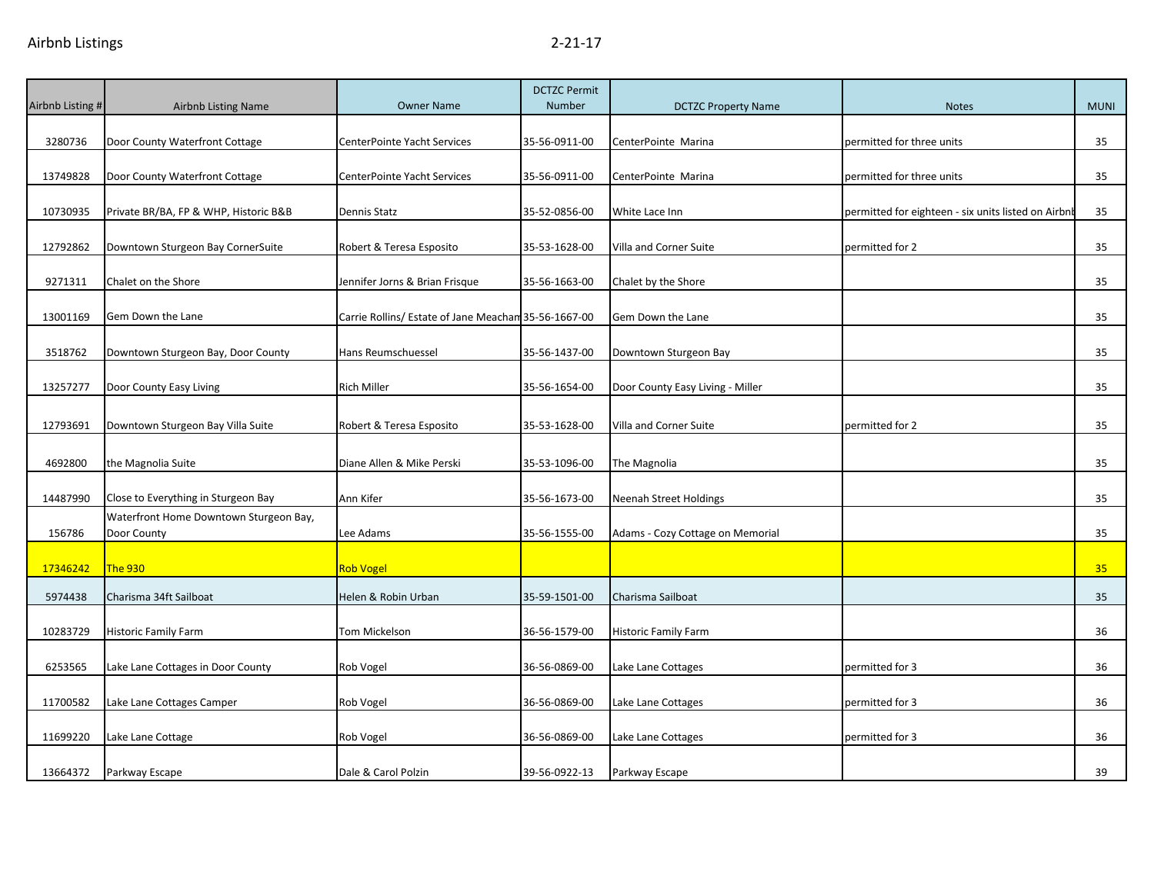| Airbnb Listing # | <b>Airbnb Listing Name</b>                            | <b>Owner Name</b>                                    | <b>DCTZC Permit</b><br>Number | <b>DCTZC Property Name</b>       | <b>Notes</b>                                        | <b>MUNI</b> |
|------------------|-------------------------------------------------------|------------------------------------------------------|-------------------------------|----------------------------------|-----------------------------------------------------|-------------|
| 3280736          | Door County Waterfront Cottage                        | CenterPointe Yacht Services                          | 35-56-0911-00                 | CenterPointe Marina              | permitted for three units                           | 35          |
| 13749828         | Door County Waterfront Cottage                        | CenterPointe Yacht Services                          | 35-56-0911-00                 | CenterPointe Marina              | permitted for three units                           | 35          |
| 10730935         | Private BR/BA, FP & WHP, Historic B&B                 | Dennis Statz                                         | 35-52-0856-00                 | White Lace Inn                   | permitted for eighteen - six units listed on Airbnb | 35          |
| 12792862         | Downtown Sturgeon Bay CornerSuite                     | Robert & Teresa Esposito                             | 35-53-1628-00                 | Villa and Corner Suite           | permitted for 2                                     | 35          |
| 9271311          | Chalet on the Shore                                   | Jennifer Jorns & Brian Frisque                       | 35-56-1663-00                 | Chalet by the Shore              |                                                     | 35          |
| 13001169         | Gem Down the Lane                                     | Carrie Rollins/ Estate of Jane Meachan 35-56-1667-00 |                               | Gem Down the Lane                |                                                     | 35          |
| 3518762          | Downtown Sturgeon Bay, Door County                    | Hans Reumschuessel                                   | 35-56-1437-00                 | Downtown Sturgeon Bay            |                                                     | 35          |
| 13257277         | Door County Easy Living                               | <b>Rich Miller</b>                                   | 35-56-1654-00                 | Door County Easy Living - Miller |                                                     | 35          |
| 12793691         | Downtown Sturgeon Bay Villa Suite                     | Robert & Teresa Esposito                             | 35-53-1628-00                 | Villa and Corner Suite           | permitted for 2                                     | 35          |
| 4692800          | the Magnolia Suite                                    | Diane Allen & Mike Perski                            | 35-53-1096-00                 | The Magnolia                     |                                                     | 35          |
| 14487990         | Close to Everything in Sturgeon Bay                   | Ann Kifer                                            | 35-56-1673-00                 | Neenah Street Holdings           |                                                     | 35          |
| 156786           | Waterfront Home Downtown Sturgeon Bay,<br>Door County | Lee Adams                                            | 35-56-1555-00                 | Adams - Cozy Cottage on Memorial |                                                     | 35          |
| 17346242         | <b>The 930</b>                                        | Rob Vogel                                            |                               |                                  |                                                     | 35          |
| 5974438          | Charisma 34ft Sailboat                                | Helen & Robin Urban                                  | 35-59-1501-00                 | Charisma Sailboat                |                                                     | 35          |
| 10283729         | <b>Historic Family Farm</b>                           | Tom Mickelson                                        | 36-56-1579-00                 | Historic Family Farm             |                                                     | 36          |
| 6253565          | Lake Lane Cottages in Door County                     | Rob Vogel                                            | 36-56-0869-00                 | Lake Lane Cottages               | permitted for 3                                     | 36          |
| 11700582         | Lake Lane Cottages Camper                             | Rob Vogel                                            | 36-56-0869-00                 | Lake Lane Cottages               | permitted for 3                                     | 36          |
| 11699220         | Lake Lane Cottage                                     | Rob Vogel                                            | 36-56-0869-00                 | Lake Lane Cottages               | permitted for 3                                     | 36          |
| 13664372         | Parkway Escape                                        | Dale & Carol Polzin                                  | 39-56-0922-13                 | Parkway Escape                   |                                                     | 39          |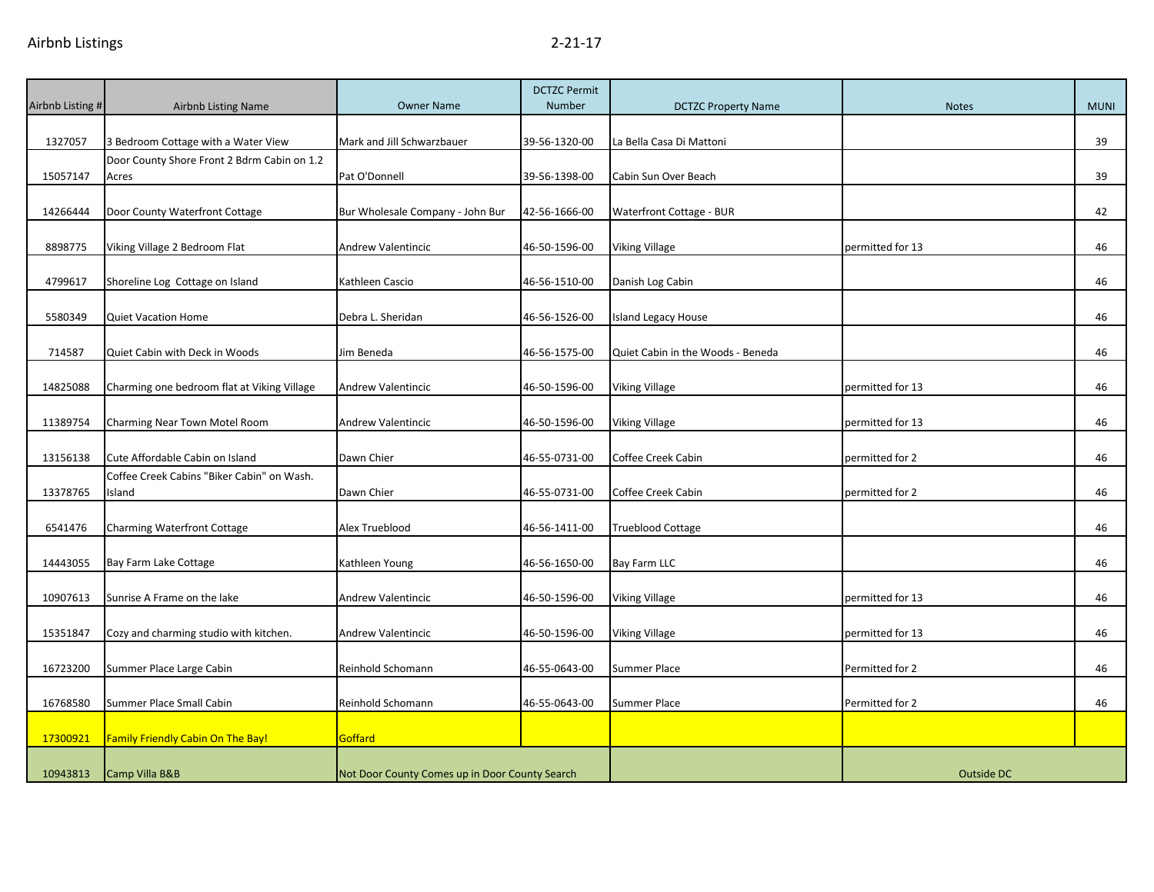| Airbnb Listing # | <b>Airbnb Listing Name</b>                           | <b>Owner Name</b>                              | <b>DCTZC Permit</b><br>Number | <b>DCTZC Property Name</b>        | <b>Notes</b>      | <b>MUNI</b> |
|------------------|------------------------------------------------------|------------------------------------------------|-------------------------------|-----------------------------------|-------------------|-------------|
|                  |                                                      |                                                |                               |                                   |                   |             |
| 1327057          | 3 Bedroom Cottage with a Water View                  | Mark and Jill Schwarzbauer                     | 39-56-1320-00                 | La Bella Casa Di Mattoni          |                   | 39          |
|                  | Door County Shore Front 2 Bdrm Cabin on 1.2          |                                                |                               |                                   |                   |             |
| 15057147         | Acres                                                | Pat O'Donnell                                  | 39-56-1398-00                 | Cabin Sun Over Beach              |                   | 39          |
| 14266444         | Door County Waterfront Cottage                       | Bur Wholesale Company - John Bur               | 42-56-1666-00                 | Waterfront Cottage - BUR          |                   | 42          |
| 8898775          | Viking Village 2 Bedroom Flat                        | Andrew Valentincic                             | 46-50-1596-00                 | Viking Village                    | permitted for 13  | 46          |
| 4799617          | Shoreline Log Cottage on Island                      | Kathleen Cascio                                | 46-56-1510-00                 | Danish Log Cabin                  |                   | 46          |
| 5580349          | <b>Quiet Vacation Home</b>                           | Debra L. Sheridan                              | 46-56-1526-00                 | Island Legacy House               |                   | 46          |
| 714587           | Quiet Cabin with Deck in Woods                       | Jim Beneda                                     | 46-56-1575-00                 | Quiet Cabin in the Woods - Beneda |                   | 46          |
|                  |                                                      |                                                |                               |                                   |                   |             |
| 14825088         | Charming one bedroom flat at Viking Village          | Andrew Valentincic                             | 46-50-1596-00                 | <b>Viking Village</b>             | permitted for 13  | 46          |
| 11389754         | Charming Near Town Motel Room                        | <b>Andrew Valentincic</b>                      | 46-50-1596-00                 | <b>Viking Village</b>             | permitted for 13  | 46          |
| 13156138         | Cute Affordable Cabin on Island                      | Dawn Chier                                     | 46-55-0731-00                 | Coffee Creek Cabin                | permitted for 2   | 46          |
| 13378765         | Coffee Creek Cabins "Biker Cabin" on Wash.<br>Island | Dawn Chier                                     | 46-55-0731-00                 | Coffee Creek Cabin                | permitted for 2   | 46          |
|                  |                                                      |                                                |                               |                                   |                   |             |
| 6541476          | <b>Charming Waterfront Cottage</b>                   | Alex Trueblood                                 | 46-56-1411-00                 | <b>Trueblood Cottage</b>          |                   | 46          |
| 14443055         | Bay Farm Lake Cottage                                | Kathleen Young                                 | 46-56-1650-00                 | Bay Farm LLC                      |                   | 46          |
| 10907613         | Sunrise A Frame on the lake                          | <b>Andrew Valentincic</b>                      | 46-50-1596-00                 | <b>Viking Village</b>             | permitted for 13  | 46          |
| 15351847         | Cozy and charming studio with kitchen.               | Andrew Valentincic                             | 46-50-1596-00                 | <b>Viking Village</b>             | permitted for 13  | 46          |
| 16723200         | Summer Place Large Cabin                             | Reinhold Schomann                              | 46-55-0643-00                 | <b>Summer Place</b>               | Permitted for 2   | 46          |
|                  |                                                      |                                                |                               |                                   |                   |             |
| 16768580         | Summer Place Small Cabin                             | Reinhold Schomann                              | 46-55-0643-00                 | Summer Place                      | Permitted for 2   | 46          |
| 17300921         | Family Friendly Cabin On The Bay!                    | Goffard                                        |                               |                                   |                   |             |
| 10943813         | Camp Villa B&B                                       | Not Door County Comes up in Door County Search |                               |                                   | <b>Outside DC</b> |             |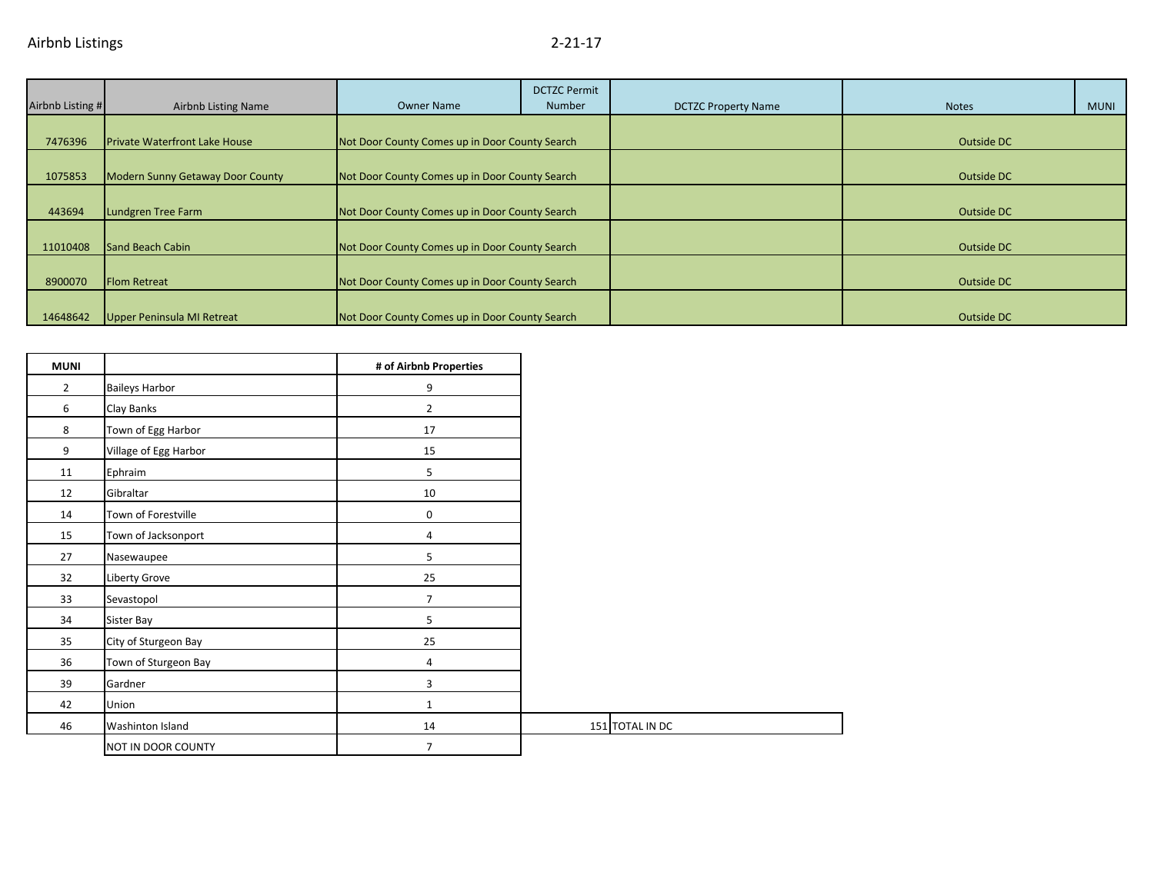|                  |                                         |                                                | <b>DCTZC Permit</b> |                            |              |             |
|------------------|-----------------------------------------|------------------------------------------------|---------------------|----------------------------|--------------|-------------|
| Airbnb Listing # | <b>Airbnb Listing Name</b>              | <b>Owner Name</b>                              | Number              | <b>DCTZC Property Name</b> | <b>Notes</b> | <b>MUNI</b> |
|                  |                                         |                                                |                     |                            |              |             |
| 7476396          | <b>Private Waterfront Lake House</b>    | Not Door County Comes up in Door County Search |                     |                            | Outside DC   |             |
|                  |                                         |                                                |                     |                            |              |             |
| 1075853          | <b>Modern Sunny Getaway Door County</b> | Not Door County Comes up in Door County Search |                     |                            | Outside DC   |             |
|                  |                                         |                                                |                     |                            |              |             |
| 443694           | Lundgren Tree Farm                      | Not Door County Comes up in Door County Search |                     |                            | Outside DC   |             |
|                  |                                         |                                                |                     |                            |              |             |
| 11010408         | Sand Beach Cabin                        | Not Door County Comes up in Door County Search |                     |                            | Outside DC   |             |
|                  |                                         |                                                |                     |                            |              |             |
| 8900070          | <b>Flom Retreat</b>                     | Not Door County Comes up in Door County Search |                     |                            | Outside DC   |             |
|                  |                                         |                                                |                     |                            |              |             |
| 14648642         | <b>Upper Peninsula MI Retreat</b>       | Not Door County Comes up in Door County Search |                     |                            | Outside DC   |             |

| <b>MUNI</b>    |                       | # of Airbnb Properties |
|----------------|-----------------------|------------------------|
| $\overline{2}$ | <b>Baileys Harbor</b> | 9                      |
| 6              | Clay Banks            | $\overline{2}$         |
| 8              | Town of Egg Harbor    | 17                     |
| 9              | Village of Egg Harbor | 15                     |
| 11             | Ephraim               | 5                      |
| 12             | Gibraltar             | 10                     |
| 14             | Town of Forestville   | 0                      |
| 15             | Town of Jacksonport   | 4                      |
| 27             | Nasewaupee            | 5                      |
| 32             | Liberty Grove         | 25                     |
| 33             | Sevastopol            | $\overline{7}$         |
| 34             | Sister Bay            | 5                      |
| 35             | City of Sturgeon Bay  | 25                     |
| 36             | Town of Sturgeon Bay  | 4                      |
| 39             | Gardner               | 3                      |
| 42             | Union                 | $\mathbf 1$            |
| 46             | Washinton Island      | 14                     |
|                | NOT IN DOOR COUNTY    | $\overline{7}$         |